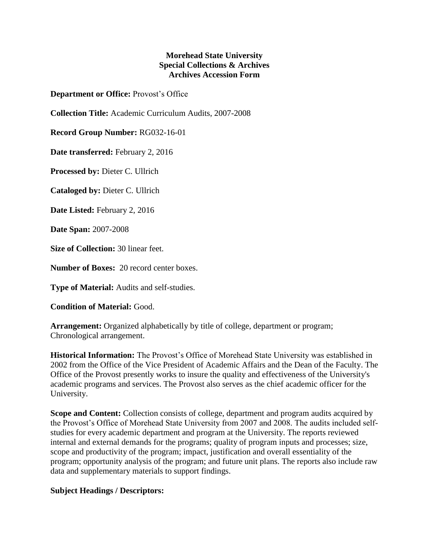## **Morehead State University Special Collections & Archives Archives Accession Form**

**Department or Office:** Provost's Office

**Collection Title:** Academic Curriculum Audits, 2007-2008

**Record Group Number:** RG032-16-01

**Date transferred:** February 2, 2016

**Processed by:** Dieter C. Ullrich

**Cataloged by:** Dieter C. Ullrich

**Date Listed:** February 2, 2016

**Date Span:** 2007-2008

**Size of Collection:** 30 linear feet.

**Number of Boxes:** 20 record center boxes.

**Type of Material:** Audits and self-studies.

**Condition of Material:** Good.

**Arrangement:** Organized alphabetically by title of college, department or program; Chronological arrangement.

**Historical Information:** The Provost's Office of Morehead State University was established in 2002 from the Office of the Vice President of Academic Affairs and the Dean of the Faculty. The Office of the Provost presently works to insure the quality and effectiveness of the University's academic programs and services. The Provost also serves as the chief academic officer for the University.

**Scope and Content:** Collection consists of college, department and program audits acquired by the Provost's Office of Morehead State University from 2007 and 2008. The audits included selfstudies for every academic department and program at the University. The reports reviewed internal and external demands for the programs; quality of program inputs and processes; size, scope and productivity of the program; impact, justification and overall essentiality of the program; opportunity analysis of the program; and future unit plans. The reports also include raw data and supplementary materials to support findings.

## **Subject Headings / Descriptors:**